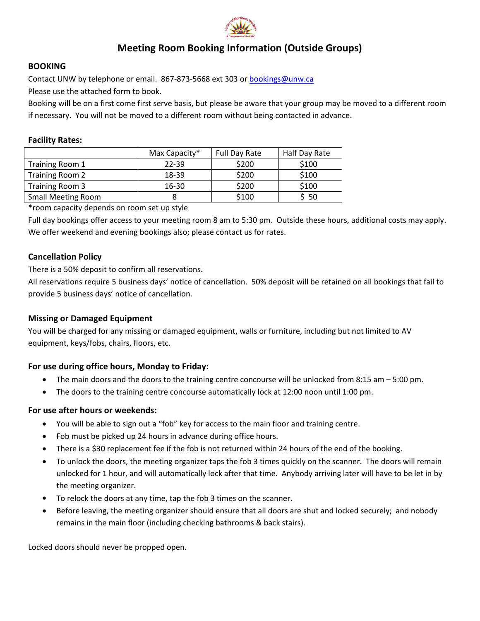

# **Meeting Room Booking Information (Outside Groups)**

#### **BOOKING**

Contact UNW by telephone or email. 867‐873‐5668 ext 303 or bookings@unw.ca

Please use the attached form to book.

Booking will be on a first come first serve basis, but please be aware that your group may be moved to a different room if necessary. You will not be moved to a different room without being contacted in advance.

#### **Facility Rates:**

|                           | Max Capacity* | Full Day Rate | Half Day Rate |
|---------------------------|---------------|---------------|---------------|
| Training Room 1           | 22-39         | \$200         | \$100         |
| Training Room 2           | 18-39         | \$200         | \$100         |
| Training Room 3           | $16 - 30$     | \$200         | \$100         |
| <b>Small Meeting Room</b> |               | \$100         | 50            |

\*room capacity depends on room set up style

Full day bookings offer access to your meeting room 8 am to 5:30 pm. Outside these hours, additional costs may apply. We offer weekend and evening bookings also; please contact us for rates.

## **Cancellation Policy**

There is a 50% deposit to confirm all reservations.

All reservations require 5 business days' notice of cancellation. 50% deposit will be retained on all bookings that fail to provide 5 business days' notice of cancellation.

## **Missing or Damaged Equipment**

You will be charged for any missing or damaged equipment, walls or furniture, including but not limited to AV equipment, keys/fobs, chairs, floors, etc.

## **For use during office hours, Monday to Friday:**

- The main doors and the doors to the training centre concourse will be unlocked from 8:15 am 5:00 pm.
- The doors to the training centre concourse automatically lock at 12:00 noon until 1:00 pm.

## **For use after hours or weekends:**

- You will be able to sign out a "fob" key for access to the main floor and training centre.
- Fob must be picked up 24 hours in advance during office hours.
- There is a \$30 replacement fee if the fob is not returned within 24 hours of the end of the booking.
- To unlock the doors, the meeting organizer taps the fob 3 times quickly on the scanner. The doors will remain unlocked for 1 hour, and will automatically lock after that time. Anybody arriving later will have to be let in by the meeting organizer.
- To relock the doors at any time, tap the fob 3 times on the scanner.
- Before leaving, the meeting organizer should ensure that all doors are shut and locked securely; and nobody remains in the main floor (including checking bathrooms & back stairs).

Locked doors should never be propped open.